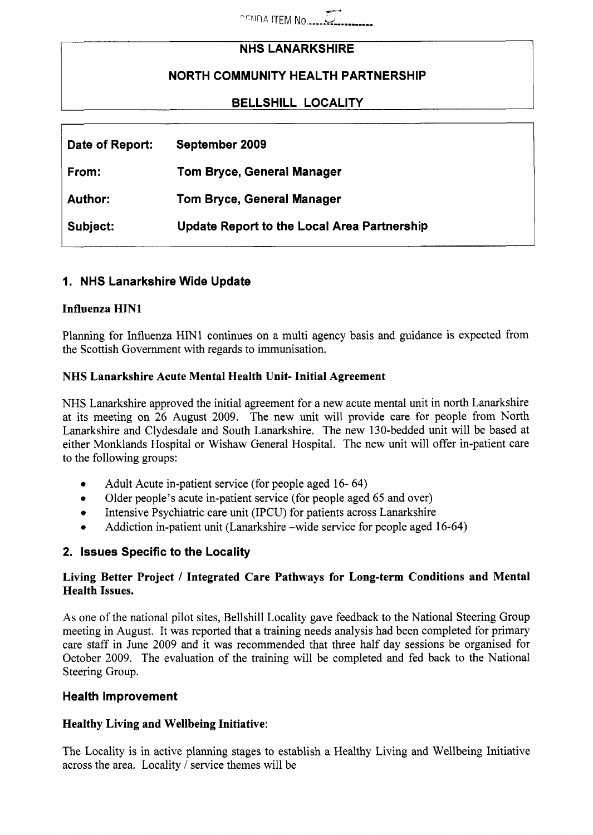$\sim$   $\sim$   $\sim$   $\sim$ 

## **NHS LANARKSHIRE**

# **NORTH COMMUNITY HEALTH PARTNERSHIP**

## **BELLSHILL LOCALITY**

| Date of Report: | September 2009                                     |
|-----------------|----------------------------------------------------|
| From:           | <b>Tom Bryce, General Manager</b>                  |
| <b>Author:</b>  | Tom Bryce, General Manager                         |
| Subject:        | <b>Update Report to the Local Area Partnership</b> |

### **I. NHS Lanarkshire Wide Update**

#### **Influenza HINl**

Planning for Influenza HINl continues on a multi agency basis and guidance is expected from the Scottish Government with regards to immunisation.

#### **NHS Lanarkshire Acute Mental Health Unit- Initial Agreement**

NHS Lanarkshire approved the initial agreement for a new acute mental unit in north Lanarkshire at its meeting on 26 August 2009. The new unit will provide care for people from North Lanarkshire and Clydesdale and South Lanarkshire. The new 130-bedded unit will be based at either Monklands Hospital or Wishaw General Hospital. The new unit will offer in-patient care to the following groups:

- *0*  Adult Acute in-patient service (for people aged 16- 64)
- *0*  Older people's acute in-patient service (for people aged 65 and over)
- *0*  Intensive Psychiatric care unit (IPCU) for patients across Lanarkshire
- *0*  Addiction in-patient unit (Lanarkshire -wide service for people aged 16-64)

#### **2. Issues Specific to the Locality**

### **Living Better Project** / **Integrated Care Pathways for Long-term Conditions and Mental Health Issues.**

As one of the national pilot sites, Bellshill Locality gave feedback to the National Steering Group meeting in August. It was reported that a training needs analysis had been completed for primary care staff in June 2009 and it was recommended that three half day sessions be organised for October 2009. The evaluation of the training will be completed and fed back to the National Steering Group.

#### **Health Improvement**

#### **Healthy Living and Wellbeing Initiative:**

The Locality is in active planning stages to establish a Healthy Living and Wellbeing Initiative across the area. Locality / service themes will be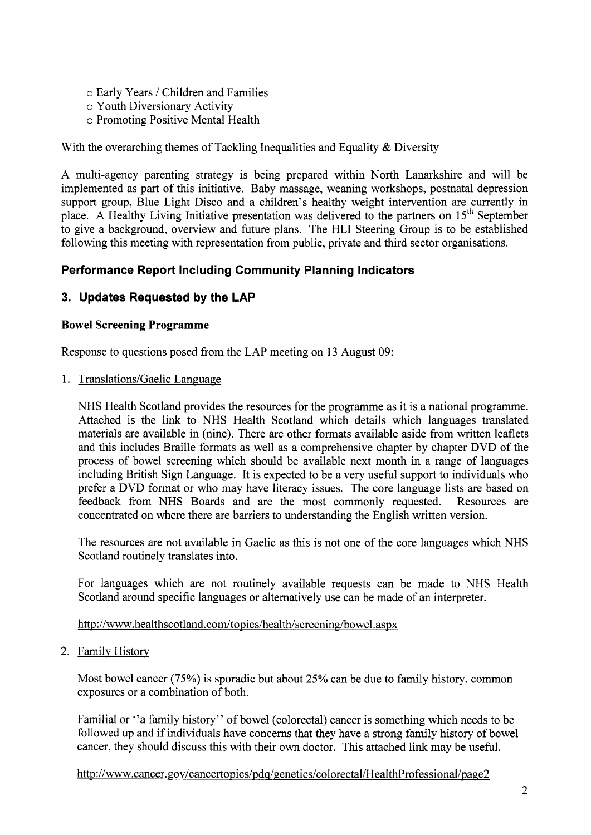- o Early Years / Children and Families
- o Youth Diversionary Activity
- o Promoting Positive Mental Health

With the overarching themes of Tackling Inequalities and Equality  $\&$  Diversity

A multi-agency parenting strategy is being prepared within North Lanarkshire and will be implemented as part of this initiative. Baby massage, weaning workshops, postnatal depression support group, Blue Light Disco and a children's healthy weight intervention are currently in place. A Healthy Living Initiative presentation was delivered to the partners on **15'h** September to give a background, overview and future plans. The HLI Steering Group is to be established following this meeting with representation from public, private and third sector organisations.

# **Performance Report Including Community Planning Indicators**

# **3. Updates Requested by the LAP**

### **Bowel Screening Programme**

Response to questions posed from the LAP meeting on 13 August 09:

1. Translations/Gaelic Language

NHS Health Scotland provides the resources for the programme as it is a national programme. Attached is the link to NHS Health Scotland which details which languages translated materials are available in (nine). There are other formats available aside from written leaflets and this includes Braille formats as well as a comprehensive chapter by chapter DVD of the process of bowel screening which should be available next month in a range of languages including British Sign Language. It is expected to be a very useful support to individuals who prefer a DVD format or who may have literacy issues. The core language lists are based on feedback from NHS Boards and are the most commonly requested. Resources are concentrated on where there are barriers to understanding the English written version.

The resources are not available in Gaelic as this is not one of the core languages which NHS Scotland routinely translates into.

For languages which are not routinely available requests can be made to NHS Health Scotland around specific languages or alternatively use can be made of an interpreter.

[http://www.](http://www)healthscotland.com/topics/health/screening/bowel.aspx

*2.* Family History

Most bowel cancer (75%) is sporadic but about **25%** can be due to family history, common exposures or a combination of both.

Familial or "a family history" of bowel (colorectal) cancer is something which needs to be followed up and if individuals have concerns that they have a strong family history of bowel cancer, they should discuss this with their own doctor. This attached link may be useful.

[http://www.cancer,](http://www.cancer) **gov/cancertopics/pdq/genetics/colorectal/HealthProfessional/pa~e2**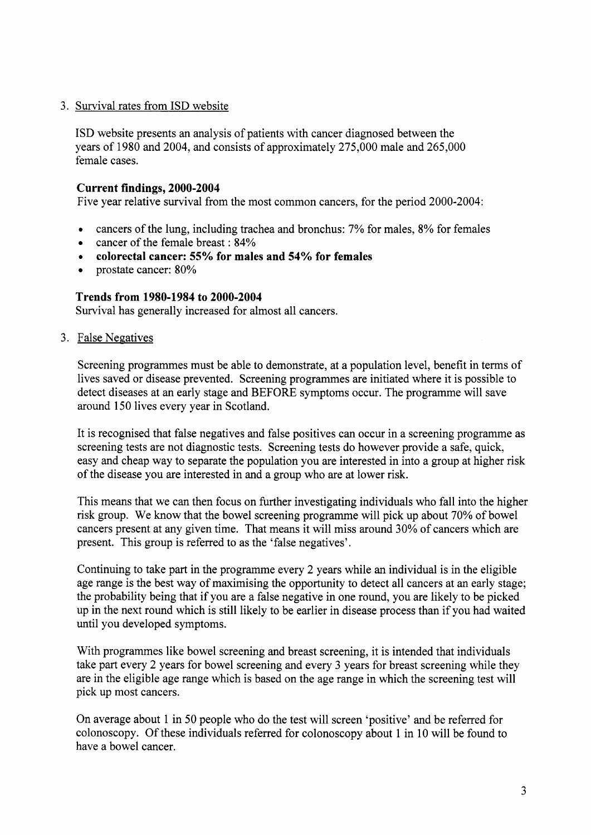### 3. Survival rates from ISD website

ISD website presents an analysis of patients with cancer diagnosed between the years of 1980 and 2004, and consists of approximately 275,000 male and 265,000 female cases.

#### **Current findings, 2000-2004**

Five year relative survival from the most common cancers, for the period 2000-2004:

- *0*  cancers of the lung, including trachea and bronchus: *7%* for males, 8% for females
- cancer of the female breast : 84%  $\bullet$
- *0*  **colorectal cancer: 55% for males and 54% for females**
- prostate cancer: 80%  $\bullet$

### **Trends from 1980-1984 to 2000-2004**

Survival has generally increased for almost all cancers.

3. False Negatives

Screening programmes must be able to demonstrate, at a population level, benefit in terms of lives saved or disease prevented. Screening programmes are initiated where it is possible to detect diseases at an early stage and BEFORE symptoms occur. The programme will save around 150 lives every year in Scotland.

It is recognised that false negatives and false positives can occur in a screening programme as screening tests are not diagnostic tests. Screening tests do however provide a safe, quick, easy and cheap way to separate the population you are interested in into a group at higher risk of the disease you are interested in and a group who are at lower risk.

This means that we can then focus on further investigating individuals who fall into the higher risk group. We know that the bowel screening programme will pick up about 70% of bowel cancers present at any given time. That means it will miss around 30% of cancers which are present. This group is referred to as the 'false negatives'.

Continuing to take part in the programme every 2 years while an individual is in the eligible age range is the best way of maximising the opportunity to detect all cancers at an early stage; the probability being that if you are a false negative in one round, you are likely to be picked up in the next round which is still likely to be earlier in disease process than if you had waited until you developed symptoms.

With programmes like bowel screening and breast screening, it is intended that individuals take part every 2 years for bowel screening and every 3 years for breast screening while they are in the eligible age range which is based on the age range in which the screening test will pick up most cancers.

On average about 1 in 50 people who do the test will screen 'positive' and be referred for colonoscopy. Of these individuals referred for colonoscopy about 1 in 10 will be found to have a bowel cancer.